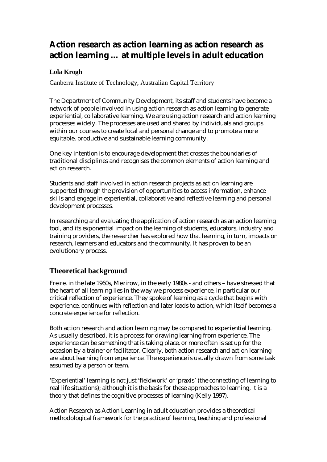# **Action research as action learning as action research as action learning … at multiple levels in adult education**

## **Lola Krogh**

Canberra Institute of Technology, Australian Capital Territory

The Department of Community Development, its staff and students have become a network of people involved in using action research as action learning to generate experiential, collaborative learning. We are using action research and action learning processes widely. The processes are used and shared by individuals and groups within our courses to create local and personal change and to promote a more equitable, productive and sustainable learning community.

One key intention is to encourage development that crosses the boundaries of traditional disciplines and recognises the common elements of action learning and action research.

Students and staff involved in action research projects as action learning are supported through the provision of opportunities to access information, enhance skills and engage in experiential, collaborative and reflective learning and personal development processes.

In researching and evaluating the application of action research as an action learning tool, and its exponential impact on the learning of students, educators, industry and training providers, the researcher has explored how that learning, in turn, impacts on research, learners and educators and the community. It has proven to be an evolutionary process.

## **Theoretical background**

Freire, in the late 1960s, Mezirow, in the early 1980s - and others – have stressed that the heart of all learning lies in the way we process experience, in particular our critical reflection of experience. They spoke of learning as a cycle that begins with experience, continues with reflection and later leads to action, which itself becomes a concrete experience for reflection.

Both action research and action learning may be compared to experiential learning. As usually described, it is a process for drawing learning from experience. The experience can be something that is taking place, or more often is set up for the occasion by a trainer or facilitator. Clearly, both action research and action learning are about learning from experience. The experience is usually drawn from some task assumed by a person or team.

'Experiential' learning is not just 'fieldwork' or 'praxis' (the connecting of learning to real life situations); although it is the basis for these approaches to learning, it is a theory that defines the cognitive processes of learning (Kelly 1997).

Action Research as Action Learning in adult education provides a theoretical methodological framework for the practice of learning, teaching and professional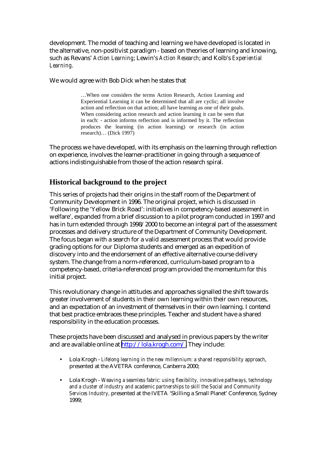development. The model of teaching and learning we have developed is located in the alternative, non-positivist paradigm - based on theories of learning and knowing, such as Revans' *Action Learning*; Lewin's *Action Research*; and Kolb's *Experiential Learning*.

We would agree with Bob Dick when he states that

…When one considers the terms Action Research, Action Learning and Experiential Learning it can be determined that all are cyclic; all involve action and reflection on that action; all have learning as one of their goals. When considering action research and action learning it can be seen that in each: - action informs reflection and is informed by it. The reflection produces the learning (in action learning) or research (in action research)… (Dick 1997)

The process we have developed, with its emphasis on the learning through reflection on experience, involves the learner-practitioner in going through a sequence of actions indistinguishable from those of the action research spiral.

## **Historical background to the project**

This series of projects had their origins in the staff room of the Department of Community Development in 1996. The original project, which is discussed in 'Following the 'Yellow Brick Road': initiatives in competency-based assessment in welfare', expanded from a brief discussion to a pilot program conducted in 1997 and has in turn extended through 1998/2000 to become an integral part of the assessment processes and delivery structure of the Department of Community Development. The focus began with a search for a valid assessment process that would provide grading options for our Diploma students and emerged as an expedition of discovery into and the endorsement of an effective alternative course delivery system. The change from a norm-referenced, curriculum-based program to a competency-based, criteria-referenced program provided the momentum for this initial project.

This revolutionary change in attitudes and approaches signalled the shift towards greater involvement of students in their own learning within their own resources, and an expectation of an investment of themselves in their own learning. I contend that best practice embraces these principles. Teacher and student have a shared responsibility in the education processes.

These projects have been discussed and analysed in previous papers by the writer and are available online at [http://lola.krogh.com/.](http://lola.krogh.com/) They include:

- Lola Krogh *Lifelong learning in the new millennium: a shared responsibility approach*, presented at the AVETRA conference, Canberra 2000;
- Lola Krogh *Weaving a seamless fabric: using flexibility, innovative pathways, technology and a cluster of industry and academic partnerships to skill the Social and Community Services Industry,* presented at the IVETA 'Skilling a Small Planet' Conference, Sydney 1999;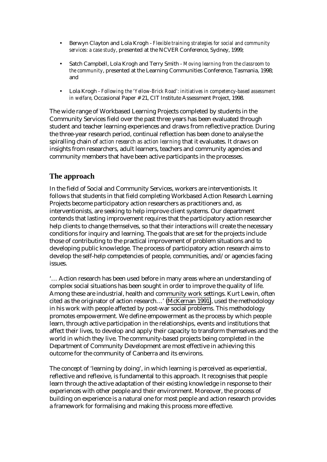- Berwyn Clayton and Lola Krogh *Flexible training strategies for social and community services: a case study*, presented at the NCVER Conference, Sydney, 1999;
- Satch Campbell, Lola Krogh and Terry Smith *Moving learning from the classroom to the community*, presented at the Learning Communities Conference, Tasmania, 1998; and
- Lola Krogh *Following the 'Yellow-Brick Road': initiatives in competency-based assessment in welfare*, Occasional Paper # 21, CIT Institute Assessment Project, 1998.

The wide range of Workbased Learning Projects completed by students in the Community Services field over the past three years has been evaluated through student and teacher learning experiences and draws from reflective practice. During the three-year research period, continual reflection has been done to analyse the spiralling chain of *action research as action learning* that it evaluates. It draws on insights from researchers, adult learners, teachers and community agencies and community members that have been active participants in the processes.

## **The approach**

In the field of Social and Community Services, workers are interventionists. It follows that students in that field completing Workbased Action Research Learning Projects become participatory action researchers as practitioners and, as interventionists, are seeking to help improve client systems. Our department contends that lasting improvement requires that the participatory action researcher help clients to change themselves, so that their interactions will create the necessary conditions for inquiry and learning. The goals that are set for the projects include those of contributing to the practical improvement of problem situations and to developing public knowledge. The process of participatory action research aims to develop the self-help competencies of people, communities, and/or agencies facing issues.

'… Action research has been used before in many areas where an understanding of complex social situations has been sought in order to improve the quality of life. Among these are industrial, health and community work settings. Kurt Lewin, often cited as the originator of action research…' [\(McKernan 1991\)](http://www.shef.ac.uk/~is/publications/infres/#mckernanj), used the methodology in his work with people affected by post-war social problems. This methodology promotes empowerment. We define empowerment as the process by which people learn, through active participation in the relationships, events and institutions that affect their lives, to develop and apply their capacity to transform themselves and the world in which they live. The community-based projects being completed in the Department of Community Development are most effective in achieving this outcome for the community of Canberra and its environs.

The concept of 'learning by doing', in which learning is perceived as experiential, reflective and reflexive, is fundamental to this approach. It recognises that people learn through the active adaptation of their existing knowledge in response to their experiences with other people and their environment. Moreover, the process of building on experience is a natural one for most people and action research provides a framework for formalising and making this process more effective.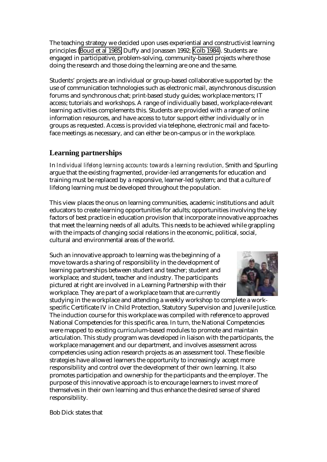The teaching strategy we decided upon uses experiential and constructivist learning principles ([Boud et al 1985;](http://www.shef.ac.uk/~is/publications/infres/#boudd) Duffy and Jonassen 1992; [Kolb 1984\)](http://www.shef.ac.uk/~is/publications/infres/#kolbd). Students are engaged in participative, problem-solving, community-based projects where those doing the research and those doing the learning are one and the same.

Students' projects are an individual or group-based collaborative supported by: the use of communication technologies such as electronic mail, asynchronous discussion forums and synchronous chat; print-based study guides; workplace mentors; IT access; tutorials and workshops. A range of individually based, workplace-relevant learning activities complements this. Students are provided with a range of online information resources, and have access to tutor support either individually or in groups as requested. Access is provided via telephone, electronic mail and face-toface meetings as necessary, and can either be on-campus or in the workplace.

## **Learning partnerships**

In *Individual lifelong learning accounts: towards a learning revolution,* Smith and Spurling argue that the existing fragmented, provider-led arrangements for education and training must be replaced by a responsive, learner-led system; and that a culture of lifelong learning must be developed throughout the population.

This view places the onus on learning communities, academic institutions and adult educators to create learning opportunities for adults; opportunities involving the key factors of best practice in education provision that incorporate innovative approaches that meet the learning needs of all adults. This needs to be achieved while grappling with the impacts of changing social relations in the economic, political, social, cultural and environmental areas of the world.

Such an innovative approach to learning was the beginning of a move towards a sharing of responsibility in the development of learning partnerships between student and teacher; student and workplace; and student, teacher and industry. The participants pictured at right are involved in a Learning Partnership with their workplace. They are part of a workplace team that are currently



studying in the workplace and attending a weekly workshop to complete a workspecific Certificate IV in Child Protection, Statutory Supervision and Juvenile Justice. The induction course for this workplace was compiled with reference to approved National Competencies for this specific area. In turn, the National Competencies were mapped to existing curriculum-based modules to promote and maintain articulation. This study program was developed in liaison with the participants, the workplace management and our department, and involves assessment across competencies using action research projects as an assessment tool. These flexible strategies have allowed learners the opportunity to increasingly accept more responsibility and control over the development of their own learning. It also promotes participation and ownership for the participants and the employer. The purpose of this innovative approach is to encourage learners to invest more of themselves in their own learning and thus enhance the desired sense of shared responsibility.

Bob Dick states that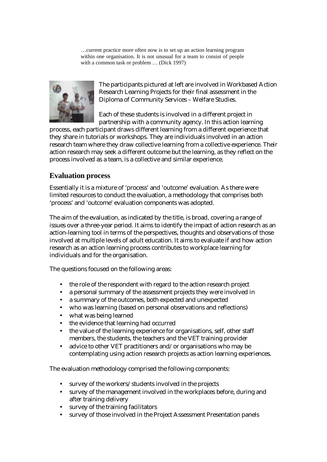…current practice more often now is to set up an action learning program within one organisation. It is not unusual for a team to consist of people with a common task or problem ... (Dick 1997)



The participants pictured at left are involved in Workbased Action Research Learning Projects for their final assessment in the Diploma of Community Services – Welfare Studies.

Each of these students is involved in a different project in partnership with a community agency. In this action learning

process, each participant draws different learning from a different experience that they share in tutorials or workshops. They are individuals involved in an action research team where they draw collective learning from a collective experience. Their action research may seek a different outcome but the learning, as they reflect on the process involved as a team, is a collective and similar experience.

## **Evaluation process**

Essentially it is a mixture of 'process' and 'outcome' evaluation. As there were limited resources to conduct the evaluation, a methodology that comprises both 'process' and 'outcome' evaluation components was adopted.

The aim of the evaluation, as indicated by the title, is broad, covering a range of issues over a three-year period. It aims to identify the impact of action research as an action-learning tool in terms of the perspectives, thoughts and observations of those involved at multiple levels of adult education. It aims to evaluate if and how action research as an action learning process contributes to workplace learning for individuals and for the organisation.

The questions focused on the following areas:

- the role of the respondent with regard to the action research project
- a personal summary of the assessment projects they were involved in
- a summary of the outcomes, both expected and unexpected
- who was learning (based on personal observations and reflections)
- what was being learned
- the evidence that learning had occurred
- the value of the learning experience for organisations, self, other staff members, the students, the teachers and the VET training provider
- advice to other VET practitioners and/or organisations who may be contemplating using action research projects as action learning experiences.

The evaluation methodology comprised the following components:

- survey of the workers/students involved in the projects
- survey of the management involved in the workplaces before, during and after training delivery
- survey of the training facilitators
- survey of those involved in the Project Assessment Presentation panels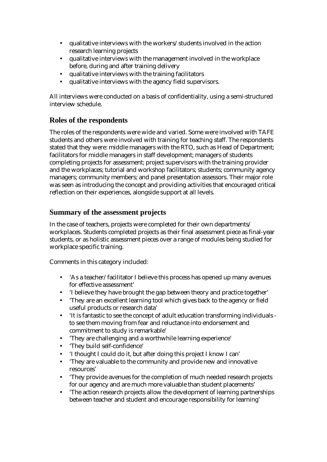- qualitative interviews with the workers/students involved in the action research learning projects
- qualitative interviews with the management involved in the workplace before, during and after training delivery
- qualitative interviews with the training facilitators
- qualitative interviews with the agency field supervisors.

All interviews were conducted on a basis of confidentiality, using a semi-structured interview schedule.

## **Roles of the respondents**

The roles of the respondents were wide and varied. Some were involved with TAFE students and others were involved with training for teaching staff. The respondents stated that they were: middle managers with the RTO, such as Head of Department; facilitators for middle managers in staff development; managers of students completing projects for assessment; project supervisors with the training provider and the workplaces; tutorial and workshop facilitators; students; community agency managers; community members; and panel presentation assessors. Their major role was seen as introducing the concept and providing activities that encouraged critical reflection on their experiences, alongside support at all levels.

### **Summary of the assessment projects**

In the case of teachers, projects were completed for their own departments/ workplaces. Students completed projects as their final assessment piece as final-year students, or as holistic assessment pieces over a range of modules being studied for workplace specific training.

Comments in this category included:

- 'As a teacher/facilitator I believe this process has opened up many avenues for effective assessment'
- 'I believe they have brought the gap between theory and practice together'
- 'They are an excellent learning tool which gives back to the agency or field useful products or research data'
- 'It is fantastic to see the concept of adult education transforming individuals to see them moving from fear and reluctance into endorsement and commitment to study is remarkable'
- 'They are challenging and a worthwhile learning experience'
- 'They build self-confidence'
- 'I thought I could do it, but after doing this project I know I can'
- 'They are valuable to the community and provide new and innovative resources'
- 'They provide avenues for the completion of much needed research projects for our agency and are much more valuable than student placements'
- 'The action research projects allow the development of learning partnerships between teacher and student and encourage responsibility for learning'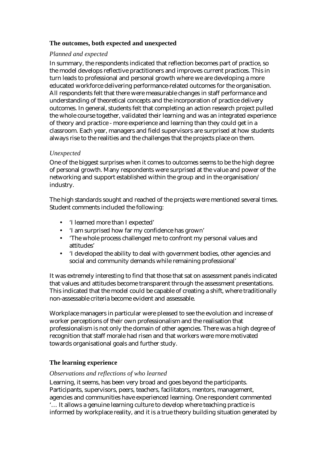#### **The outcomes, both expected and unexpected**

#### *Planned and expected*

In summary, the respondents indicated that reflection becomes part of practice, so the model develops reflective practitioners and improves current practices. This in turn leads to professional and personal growth where we are developing a more educated workforce delivering performance-related outcomes for the organisation. All respondents felt that there were measurable changes in staff performance and understanding of theoretical concepts and the incorporation of practice delivery outcomes. In general, students felt that completing an action research project pulled the whole course together, validated their learning and was an integrated experience of theory and practice - more experience and learning than they could get in a classroom. Each year, managers and field supervisors are surprised at how students always rise to the realities and the challenges that the projects place on them.

#### *Unexpected*

One of the biggest surprises when it comes to outcomes seems to be the high degree of personal growth. Many respondents were surprised at the value and power of the networking and support established within the group and in the organisation/ industry.

The high standards sought and reached of the projects were mentioned several times. Student comments included the following:

- 'I learned more than I expected'
- 'I am surprised how far my confidence has grown'
- 'The whole process challenged me to confront my personal values and attitudes'
- 'I developed the ability to deal with government bodies, other agencies and social and community demands while remaining professional'

It was extremely interesting to find that those that sat on assessment panels indicated that values and attitudes become transparent through the assessment presentations. This indicated that the model could be capable of creating a shift, where traditionally non-assessable criteria become evident and assessable.

Workplace managers in particular were pleased to see the evolution and increase of worker perceptions of their own professionalism and the realisation that professionalism is not only the domain of other agencies. There was a high degree of recognition that staff morale had risen and that workers were more motivated towards organisational goals and further study.

#### **The learning experience**

#### *Observations and reflections of who learned*

Learning, it seems, has been very broad and goes beyond the participants. Participants, supervisors, peers, teachers, facilitators, mentors, management, agencies and communities have experienced learning. One respondent commented '… It allows a genuine learning culture to develop where teaching practice is informed by workplace reality, and it is a true theory building situation generated by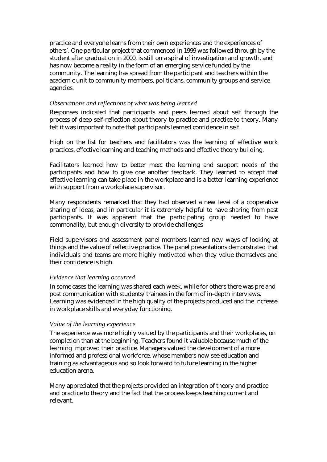practice and everyone learns from their own experiences and the experiences of others'. One particular project that commenced in 1999 was followed through by the student after graduation in 2000, is still on a spiral of investigation and growth, and has now become a reality in the form of an emerging service funded by the community. The learning has spread from the participant and teachers within the academic unit to community members, politicians, community groups and service agencies.

#### *Observations and reflections of what was being learned*

Responses indicated that participants and peers learned about self through the process of deep self-reflection about theory to practice and practice to theory. Many felt it was important to note that participants learned confidence in self.

High on the list for teachers and facilitators was the learning of effective work practices, effective learning and teaching methods and effective theory building.

Facilitators learned how to better meet the learning and support needs of the participants and how to give one another feedback. They learned to accept that effective learning can take place in the workplace and is a better learning experience with support from a workplace supervisor.

Many respondents remarked that they had observed a new level of a cooperative sharing of ideas, and in particular it is extremely helpful to have sharing from past participants. It was apparent that the participating group needed to have commonality, but enough diversity to provide challenges

Field supervisors and assessment panel members learned new ways of looking at things and the value of reflective practice. The panel presentations demonstrated that individuals and teams are more highly motivated when they value themselves and their confidence is high.

#### *Evidence that learning occurred*

In some cases the learning was shared each week, while for others there was pre and post communication with students/trainees in the form of in-depth interviews. Learning was evidenced in the high quality of the projects produced and the increase in workplace skills and everyday functioning.

#### *Value of the learning experience*

The experience was more highly valued by the participants and their workplaces, on completion than at the beginning. Teachers found it valuable because much of the learning improved their practice. Managers valued the development of a more informed and professional workforce, whose members now see education and training as advantageous and so look forward to future learning in the higher education arena.

Many appreciated that the projects provided an integration of theory and practice and practice to theory and the fact that the process keeps teaching current and relevant.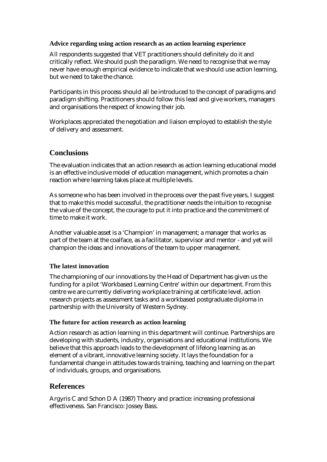#### **Advice regarding using action research as an action learning experience**

All respondents suggested that VET practitioners should definitely do it and critically reflect. We should push the paradigm. We need to recognise that we may never have enough empirical evidence to indicate that we should use action learning, but we need to take the chance.

Participants in this process should all be introduced to the concept of paradigms and paradigm shifting. Practitioners should follow this lead and give workers, managers and organisations the respect of knowing their job.

Workplaces appreciated the negotiation and liaison employed to establish the style of delivery and assessment.

## **Conclusions**

The evaluation indicates that an action research as action learning educational model is an effective inclusive model of education management, which promotes a chain reaction where learning takes place at multiple levels.

As someone who has been involved in the process over the past five years, I suggest that to make this model successful, the practitioner needs the intuition to recognise the value of the concept, the courage to put it into practice and the commitment of time to make it work.

Another valuable asset is a 'Champion' in management; a manager that works as part of the team at the coalface, as a facilitator, supervisor and mentor - and yet will champion the ideas and innovations of the team to upper management.

#### **The latest innovation**

The championing of our innovations by the Head of Department has given us the funding for a pilot 'Workbased Learning Centre' within our department. From this centre we are currently delivering workplace training at certificate level, action research projects as assessment tasks and a workbased postgraduate diploma in partnership with the University of Western Sydney.

#### **The future for action research as action learning**

Action research as action learning in this department will continue. Partnerships are developing with students, industry, organisations and educational institutions. We believe that this approach leads to the development of lifelong learning as an element of a vibrant, innovative learning society. It lays the foundation for a fundamental change in attitudes towards training, teaching and learning on the part of individuals, groups, and organisations.

## **References**

Argyris C and Schon D A (1987) Theory and practice: increasing professional effectiveness. San Francisco: Jossey Bass.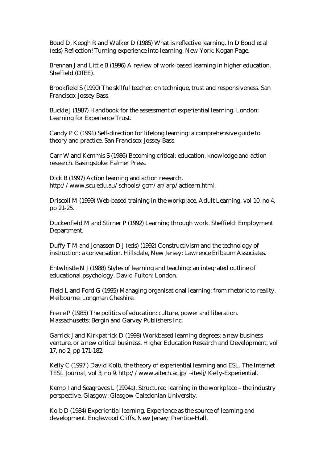Boud D, Keogh R and Walker D (1985) What is reflective learning. In D Boud et al (eds) Reflection! Turning experience into learning. New York: Kogan Page.

Brennan J and Little B (1996) A review of work-based learning in higher education. Sheffield (DfEE).

Brookfield S (1990) The skilful teacher: on technique, trust and responsiveness. San Francisco: Jossey Bass.

Buckle J (1987) Handbook for the assessment of experiential learning. London: Learning for Experience Trust.

Candy P C (1991) Self-direction for lifelong learning: a comprehensive guide to theory and practice. San Francisco: Jossey Bass.

Carr W and Kemmis S (1986) Becoming critical: education, knowledge and action research. Basingstoke: Falmer Press.

Dick B (1997) Action learning and action research. http://www.scu.edu.au/schools/gcm/ar/arp/actlearn.html.

Driscoll M (1999) Web-based training in the workplace. Adult Learning, vol 10, no 4, pp 21-25.

Duckenfield M and Stirner P (1992) Learning through work. Sheffield: Employment Department.

Duffy T M and Jonassen D J (eds) (1992) Constructivism and the technology of instruction: a conversation. Hillsdale, New Jersey: Lawrence Erlbaum Associates.

Entwhistle N J (1988) Styles of learning and teaching: an integrated outline of educational psychology. David Fulton: London.

Field L and Ford G (1995) Managing organisational learning: from rhetoric to reality. Melbourne: Longman Cheshire.

Freire P (1985) The politics of education: culture, power and liberation. Massachusetts: Bergin and Garvey Publishers Inc.

Garrick J and Kirkpatrick D (1998) Workbased learning degrees: a new business venture, or a new critical business. Higher Education Research and Development, vol 17, no 2, pp 171-182.

Kelly C (1997 ) David Kolb, the theory of experiential learning and ESL. The Internet TESL Journal, vol 3, no 9. http://www.aitech.ac.jp/~iteslj/Kelly-Experiential.

Kemp I and Seagraves L (1994a). Structured learning in the workplace – the industry perspective. Glasgow: Glasgow Caledonian University.

Kolb D (1984) Experiential learning. Experience as the source of learning and development. Englewood Cliffs, New Jersey: Prentice-Hall.